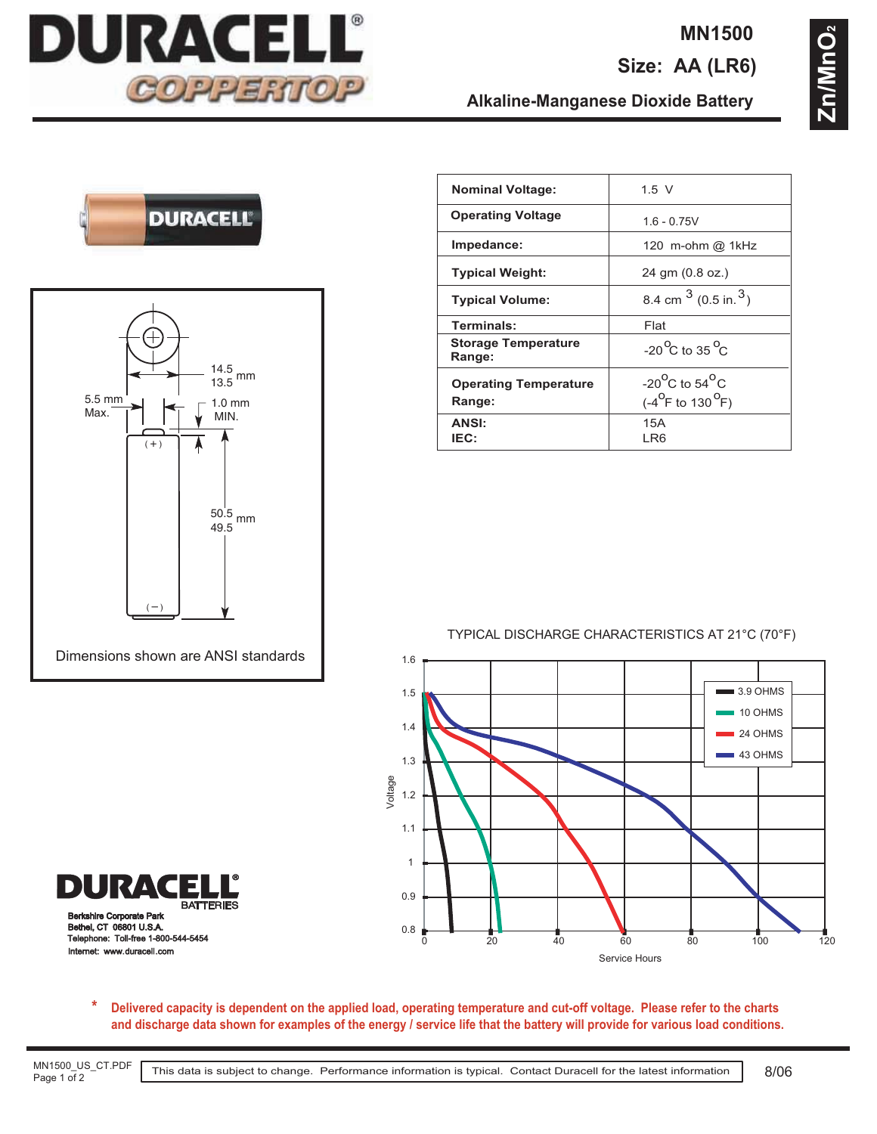

### **MN1500**

**Size: AA (LR6)**

**Zn/MnO2** Zn/MnO

## **DURACELL**



| <b>Nominal Voltage:</b>                | $1.5$ V                                                                    |
|----------------------------------------|----------------------------------------------------------------------------|
| <b>Operating Voltage</b>               | $1.6 - 0.75V$                                                              |
| Impedance:                             | 120 m-ohm @ 1kHz                                                           |
| <b>Typical Weight:</b>                 | 24 gm (0.8 oz.)                                                            |
| <b>Typical Volume:</b>                 | 8.4 cm $^3$ (0.5 in. $^3$ )                                                |
| Terminals:                             | Flat                                                                       |
| <b>Storage Temperature</b><br>Range:   | $-20^{\circ}$ C to 35 $^{\circ}$ C                                         |
| <b>Operating Temperature</b><br>Range: | $-20^{\circ}$ C to 54 $^{\circ}$ C<br>$(-4^{\circ}$ F to 130 $^{\circ}$ F) |
| <b>ANSI:</b><br>IEC:                   | 15A<br>I R6                                                                |

**Alkaline-Manganese Dioxide Battery**

#### TYPICAL DISCHARGE CHARACTERISTICS AT 21°C (70°F)



**Ire Corporate Park** Bethel, CT 06801 U.S.A. Telephone: Toll-free 1-800-544-5454 Internet: www.duracell.com

E **BATTERIES** 

URAC

**Delivered capacity is dependent on the applied load, operating temperature and cut-off voltage. Please refer to the charts and discharge data shown for examples of the energy / service life that the battery will provide for various load conditions. \***

MN1500\_US\_CT.PDF Page 1 of 2